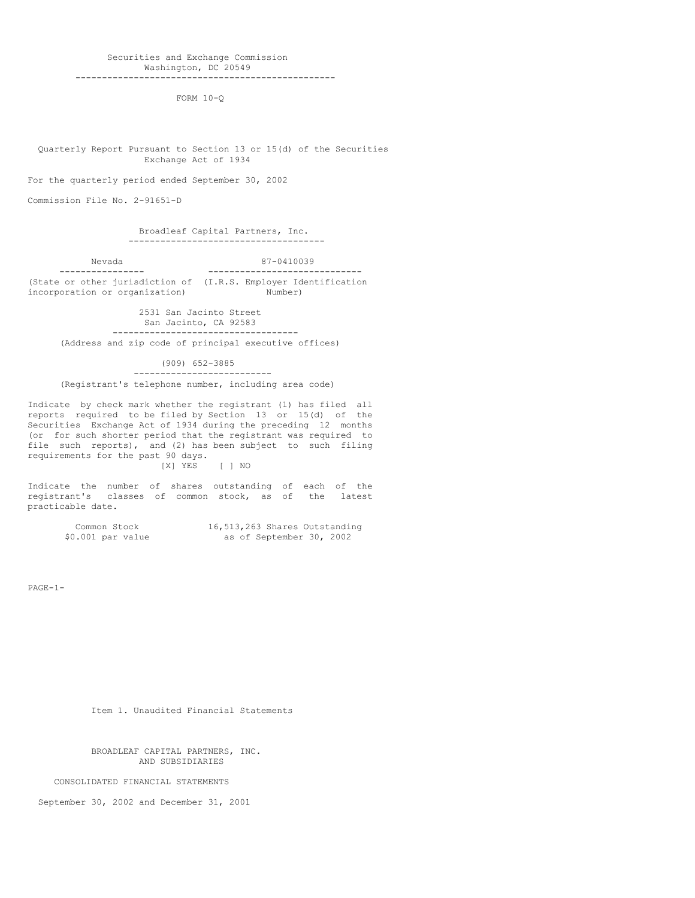-------------------------------------------------

FORM 10-Q

Quarterly Report Pursuant to Section 13 or 15(d) of the Securities Exchange Act of 1934

For the quarterly period ended September 30, 2002

Commission File No. 2-91651-D

Broadleaf Capital Partners, Inc. -------------------------------------

Nevada 87-0410039 ---------------- ----------------------------- (State or other jurisdiction of (I.R.S. Employer Identification incorporation or organization) Mumber)

2531 San Jacinto Street San Jacinto, CA 92583 ----------------------------------- (Address and zip code of principal executive offices)

(909) 652-3885

-------------------------- (Registrant's telephone number, including area code)

Indicate by check mark whether the registrant (1) has filed all reports required to be filed by Section 13 or 15(d) of the Securities Exchange Act of 1934 during the preceding 12 months (or for such shorter period that the registrant was required to file such reports), and (2) has been subject to such filing requirements for the past 90 days. [X] YES [ ] NO

Indicate the number of shares outstanding of each of the registrant's classes of common stock, as of the latest practicable date.

> Common Stock 16,513,263 Shares Outstanding<br>\$0.001 par value as of September 30, 2002 as of September 30, 2002

PAGE-1-

Item 1. Unaudited Financial Statements

BROADLEAF CAPITAL PARTNERS, INC. AND SUBSIDIARIES

#### CONSOLIDATED FINANCIAL STATEMENTS

September 30, 2002 and December 31, 2001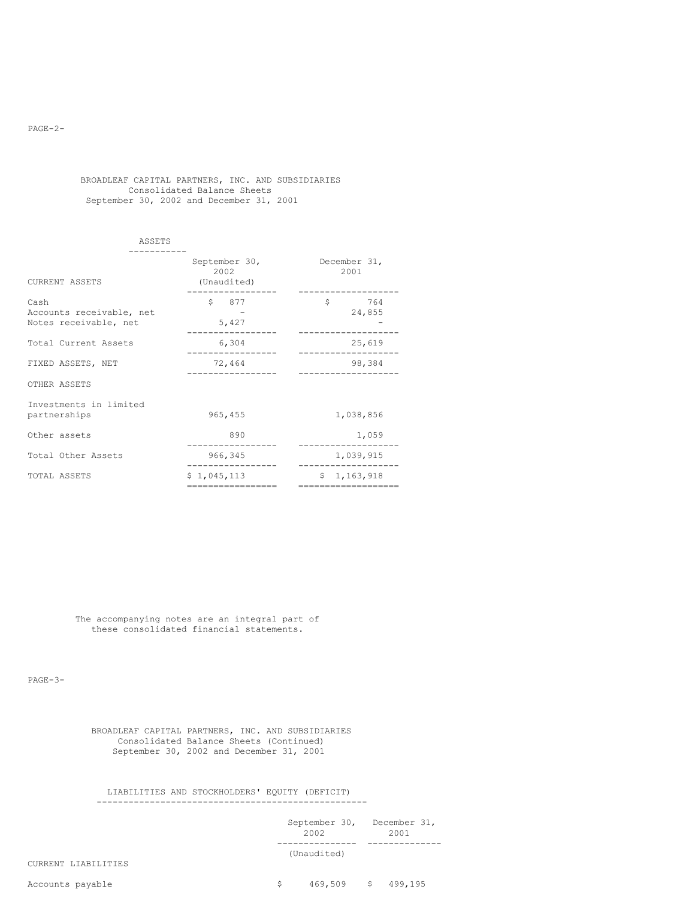PAGE-2-

BROADLEAF CAPITAL PARTNERS, INC. AND SUBSIDIARIES Consolidated Balance Sheets September 30, 2002 and December 31, 2001

| ASSETS                                                    |                                      |                      |
|-----------------------------------------------------------|--------------------------------------|----------------------|
| <b>CURRENT ASSETS</b>                                     | September 30,<br>2002<br>(Unaudited) | December 31,<br>2001 |
| Cash<br>Accounts receivable, net<br>Notes receivable, net | \$877<br>5,427                       | Ŝ<br>764<br>24,855   |
| Total Current Assets                                      | 6,304                                | 25,619               |
| FIXED ASSETS, NET                                         | 72,464                               | 98,384               |
| OTHER ASSETS                                              |                                      |                      |
| Investments in limited<br>partnerships                    | 965,455                              | 1,038,856            |
| Other assets                                              | 890                                  | 1,059                |
| Total Other Assets                                        | 966,345                              | 1,039,915            |
| TOTAL ASSETS                                              | \$1,045,113<br>---------------       | 1,163,918<br>S.      |

The accompanying notes are an integral part of these consolidated financial statements.

PAGE-3-

BROADLEAF CAPITAL PARTNERS, INC. AND SUBSIDIARIES Consolidated Balance Sheets (Continued) September 30, 2002 and December 31, 2001

LIABILITIES AND STOCKHOLDERS' EQUITY (DEFICIT) ---------------------------------------------------

|                     | September 30, December 31,<br>2002<br>(Unaudited) |            |  | 2001    |
|---------------------|---------------------------------------------------|------------|--|---------|
| CURRENT LIABILITIES |                                                   |            |  |         |
| Accounts payable    | S.                                                | 469,509 \$ |  | 499,195 |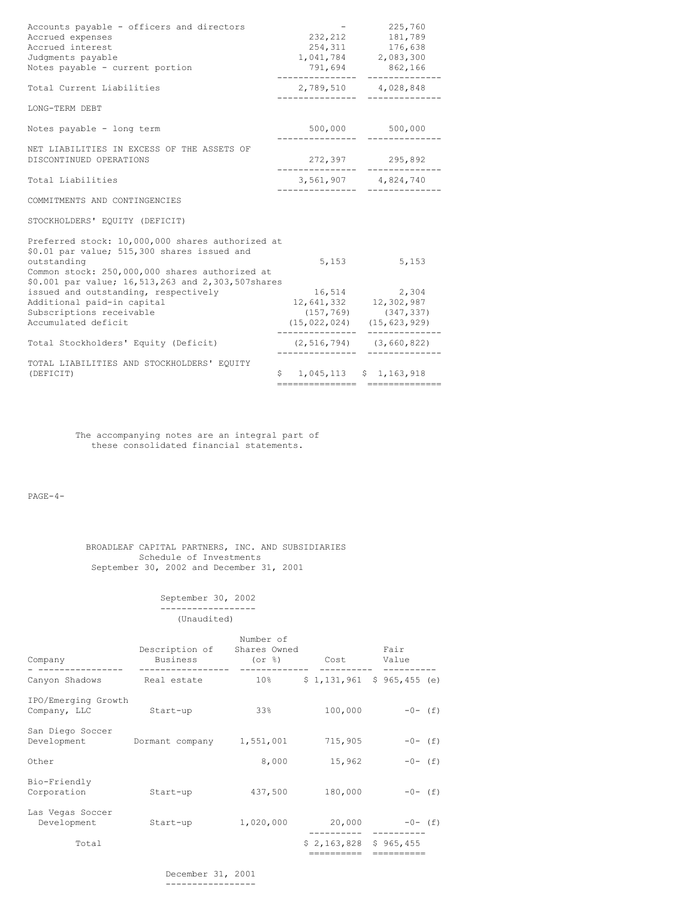| Accounts payable - officers and directors<br>Accrued expenses<br>Accrued interest                                     | 232, 212                  | 225,760<br>181,789<br>254, 311 176, 638                                                                 |
|-----------------------------------------------------------------------------------------------------------------------|---------------------------|---------------------------------------------------------------------------------------------------------|
| Judgments payable<br>Notes payable - current portion                                                                  |                           | 1,041,784 2,083,300<br>791,694 862,166                                                                  |
| Total Current Liabilities                                                                                             | ----------                | 2,789,510 4,028,848                                                                                     |
| LONG-TERM DEBT                                                                                                        |                           |                                                                                                         |
| Notes payable - long term                                                                                             |                           | 500,000 500,000                                                                                         |
| NET LIABILITIES IN EXCESS OF THE ASSETS OF<br>DISCONTINUED OPERATIONS                                                 |                           | 272,397 295,892<br>-----------                                                                          |
| Total Liabilities                                                                                                     | 3,561,907 4,824,740       |                                                                                                         |
| COMMITMENTS AND CONTINGENCIES                                                                                         |                           |                                                                                                         |
| STOCKHOLDERS' EQUITY (DEFICIT)                                                                                        |                           |                                                                                                         |
| Preferred stock: 10,000,000 shares authorized at<br>\$0.01 par value; 515,300 shares issued and<br>outstanding        | 5,153                     | 5,153                                                                                                   |
| Common stock: 250,000,000 shares authorized at<br>\$0.001 par value; 16,513,263 and 2,303,507 shares                  |                           |                                                                                                         |
| issued and outstanding, respectively<br>Additional paid-in capital<br>Subscriptions receivable<br>Accumulated deficit |                           | 16,514 2,304<br>12,641,332 12,302,987<br>$(157, 769)$ $(347, 337)$<br>$(15, 022, 024)$ $(15, 623, 929)$ |
| Total Stockholders' Equity (Deficit)                                                                                  |                           | $(2, 516, 794)$ $(3, 660, 822)$                                                                         |
| TOTAL LIABILITIES AND STOCKHOLDERS' EQUITY<br>(DEFICIT)                                                               | $$1,045,113$ $$1,163,918$ | ===============================                                                                         |

The accompanying notes are an integral part of these consolidated financial statements.

PAGE-4-

BROADLEAF CAPITAL PARTNERS, INC. AND SUBSIDIARIES Schedule of Investments September 30, 2002 and December 31, 2001

# September 30, 2002 ------------------ (Unaudited)

| Company                             | Description of<br>Business | Number of<br>Shares Owned<br>$($ or $\frac{6}{3}$ $)$ | Cost                      | Fair<br>Value               |
|-------------------------------------|----------------------------|-------------------------------------------------------|---------------------------|-----------------------------|
| Canyon Shadows                      | Real estate                | 10 <sup>8</sup>                                       |                           | $$1,131,961$ $$965,455$ (e) |
| IPO/Emerging Growth<br>Company, LLC | Start-up                   | 33%                                                   | 100,000                   | $-0-$ (f)                   |
| San Diego Soccer<br>Development     | Dormant company            | 1,551,001                                             | 715,905                   | $-0-$ (f)                   |
| Other                               |                            | 8,000                                                 | 15,962                    | $-0-$ (f)                   |
| Bio-Friendly<br>Corporation         | Start-up                   | 437,500                                               | 180,000                   | $-0-$ (f)                   |
| Las Vegas Soccer<br>Development     | Start-up                   | 1,020,000                                             | 20,000                    | $-0-$ (f)                   |
| Total                               |                            |                                                       | \$2,163,828<br>========== | \$965,455<br>----------     |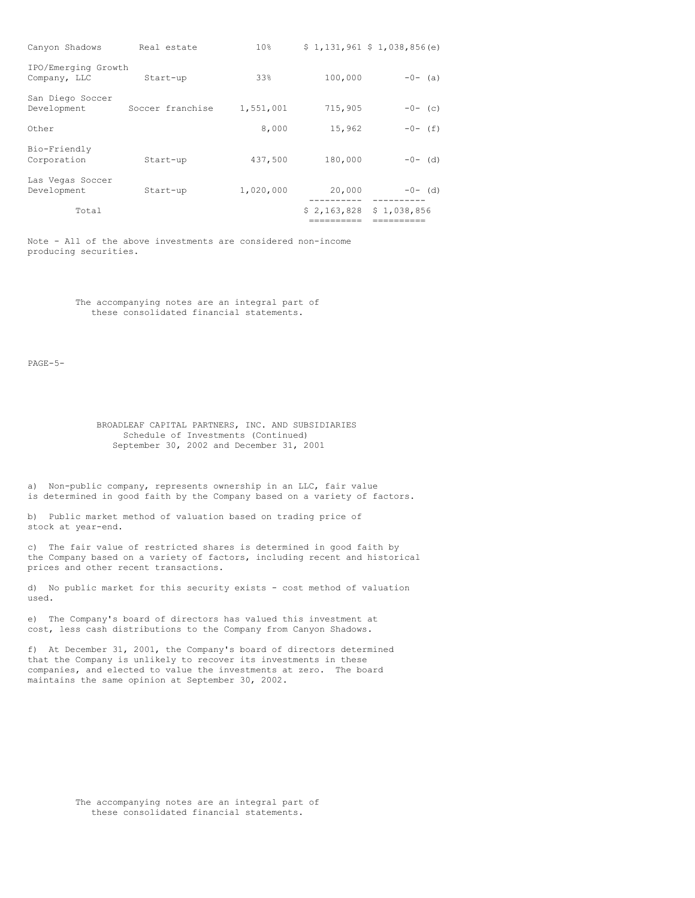| Canyon Shadows                      | Real estate      | 10 <sup>°</sup> |             | $$1,131,961$ $$1,038,856(e)$ |
|-------------------------------------|------------------|-----------------|-------------|------------------------------|
| IPO/Emerging Growth<br>Company, LLC | Start-up         | 33%             | 100,000     | $-0-$ (a)                    |
| San Diego Soccer<br>Development     | Soccer franchise | 1,551,001       | 715,905     | $-0-$ (c)                    |
| Other                               |                  | 8,000           | 15,962      | $-0- (f)$                    |
| Bio-Friendly<br>Corporation         | Start-up         | 437,500         | 180,000     | $-0-$ (d)                    |
| Las Vegas Soccer<br>Development     | Start-up         | 1,020,000       | 20,000      | $-0-$ (d)                    |
| Total                               |                  |                 | \$2,163,828 | \$1,038,856                  |

Note - All of the above investments are considered non-income producing securities.

> The accompanying notes are an integral part of these consolidated financial statements.

PAGE-5-

BROADLEAF CAPITAL PARTNERS, INC. AND SUBSIDIARIES Schedule of Investments (Continued) September 30, 2002 and December 31, 2001

a) Non-public company, represents ownership in an LLC, fair value is determined in good faith by the Company based on a variety of factors.

b) Public market method of valuation based on trading price of stock at year-end.

c) The fair value of restricted shares is determined in good faith by the Company based on a variety of factors, including recent and historical prices and other recent transactions.

d) No public market for this security exists - cost method of valuation used.

e) The Company's board of directors has valued this investment at cost, less cash distributions to the Company from Canyon Shadows.

f) At December 31, 2001, the Company's board of directors determined that the Company is unlikely to recover its investments in these companies, and elected to value the investments at zero. The board maintains the same opinion at September 30, 2002.

> The accompanying notes are an integral part of these consolidated financial statements.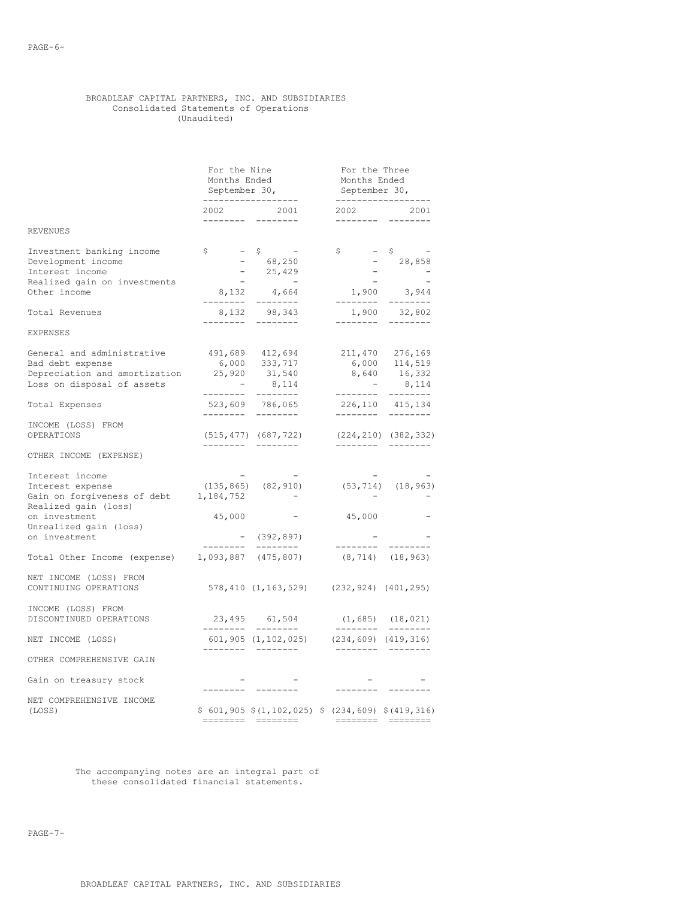#### BROADLEAF CAPITAL PARTNERS, INC. AND SUBSIDIARIES Consolidated Statements of Operations (Unaudited)

|                                                                                                               | For the Nine<br>Months Ended<br>September 30,<br>------------------ |                                                                                                           | For the Three<br>Months Ended<br>September 30,<br>------------------ |                                                                                |
|---------------------------------------------------------------------------------------------------------------|---------------------------------------------------------------------|-----------------------------------------------------------------------------------------------------------|----------------------------------------------------------------------|--------------------------------------------------------------------------------|
|                                                                                                               | 2002                                                                | 2001                                                                                                      |                                                                      | 2002 2001                                                                      |
| <b>REVENUES</b>                                                                                               |                                                                     |                                                                                                           |                                                                      |                                                                                |
| Investment banking income<br>Development income<br>Interest income<br>Realized gain on investments            | $\mathsf{S}$ and $\mathsf{S}$<br>$\sim$                             | $\qquad \qquad - \quad \  \  \, \varsigma \qquad \qquad -$<br>68,250<br>$-25,429$<br>$\sim 100$ m $^{-1}$ | $\mathsf{S}$ . The set of $\mathsf{S}$                               | $\begin{array}{ccc} \xi & \qquad & - \end{array}$<br>28,858                    |
| Other income                                                                                                  | --------                                                            | 8,132 4,664<br>---------                                                                                  | --------                                                             | $1,900$ 3,944<br>--------                                                      |
| Total Revenues                                                                                                | 8,132<br>--------                                                   | 98,343<br>--------                                                                                        | 1,900<br>---------                                                   | 32,802<br>--------                                                             |
| <b>EXPENSES</b>                                                                                               |                                                                     |                                                                                                           |                                                                      |                                                                                |
| General and administrative<br>Bad debt expense<br>Depreciation and amortization<br>Loss on disposal of assets | 25,920<br>$\sim 100$ km s $^{-1}$                                   | 491,689 412,694<br>6,000 333,717<br>31,540<br>8,114<br>-------- --------                                  | $\mathcal{L}_{\rm{max}}$ and $\mathcal{L}_{\rm{max}}$                | 211,470 276,169<br>6,000 114,519<br>8,640 16,332<br>8,114<br>-------- -------- |
| Total Expenses                                                                                                | ---------                                                           | 523,609 786,065<br>---------                                                                              |                                                                      | 226,110 415,134                                                                |
| INCOME (LOSS) FROM<br>OPERATIONS                                                                              | ---------                                                           | (515,477) (687,722)<br>---------                                                                          | ________                                                             | $(224, 210)$ $(382, 332)$<br>--------                                          |
| OTHER INCOME (EXPENSE)                                                                                        |                                                                     |                                                                                                           |                                                                      |                                                                                |
| Interest income<br>Interest expense<br>Gain on forgiveness of debt 1,184,752<br>Realized gain (loss)          |                                                                     | $(135, 865)$ $(82, 910)$                                                                                  |                                                                      | $(53, 714)$ $(18, 963)$                                                        |
| on investment<br>Unrealized gain (loss)                                                                       | 45,000                                                              |                                                                                                           | 45,000                                                               |                                                                                |
| on investment                                                                                                 | ---------                                                           | $-$ (392,897)<br>--------                                                                                 |                                                                      |                                                                                |
| Total Other Income (expense) 1,093,887 (475,807)                                                              |                                                                     |                                                                                                           | $(8, 714)$ $(18, 963)$                                               |                                                                                |
| NET INCOME (LOSS) FROM<br>CONTINUING OPERATIONS                                                               |                                                                     | 578,410 (1,163,529) (232,924) (401,295)                                                                   |                                                                      |                                                                                |
| INCOME (LOSS) FROM<br>DISCONTINUED OPERATIONS                                                                 | --------                                                            | 23,495 61,504<br>--------                                                                                 | ---------                                                            | $(1, 685)$ $(18, 021)$<br>$- - - - - - - -$                                    |
| NET INCOME (LOSS)                                                                                             |                                                                     | 601,905 (1,102,025) (234,609) (419,316)                                                                   |                                                                      |                                                                                |
| OTHER COMPREHENSIVE GAIN                                                                                      |                                                                     |                                                                                                           |                                                                      |                                                                                |
| Gain on treasury stock                                                                                        | ---------                                                           |                                                                                                           |                                                                      |                                                                                |
| NET COMPREHENSIVE INCOME<br>(LOSS)                                                                            |                                                                     | $$601, 905$ $$(1, 102, 025)$ $$(234, 609)$ $$(419, 316)$<br>--------- --------                            |                                                                      | ======== ========                                                              |

The accompanying notes are an integral part of these consolidated financial statements.

PAGE-7-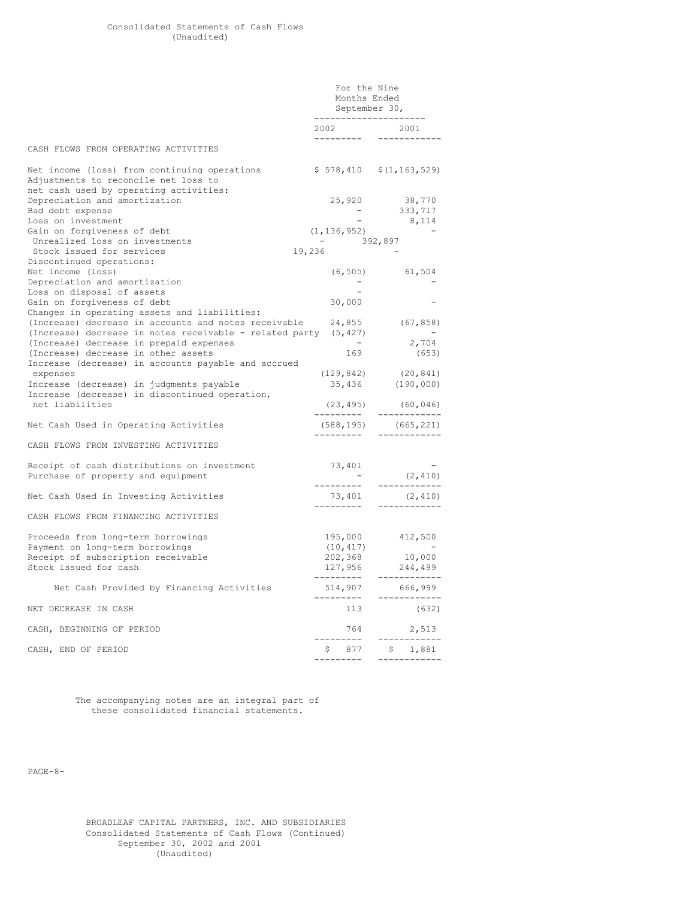|                                                                                             |                                                       | For the Nine<br>Months Ended<br>September 30,<br>---------------------                                            |  |  |
|---------------------------------------------------------------------------------------------|-------------------------------------------------------|-------------------------------------------------------------------------------------------------------------------|--|--|
|                                                                                             | 2002                                                  | 2001                                                                                                              |  |  |
| CASH FLOWS FROM OPERATING ACTIVITIES                                                        | ----------                                            | ____________                                                                                                      |  |  |
| Net income (loss) from continuing operations<br>Adjustments to reconcile net loss to        | $$578,410$ $$(1,163,529)$                             |                                                                                                                   |  |  |
| net cash used by operating activities:<br>Depreciation and amortization<br>Bad debt expense | $\sim 10^{-1}$                                        | 25,920 38,770<br>333,717                                                                                          |  |  |
| Loss on investment                                                                          |                                                       | 8,114                                                                                                             |  |  |
| Gain on forgiveness of debt                                                                 | (1, 136, 952)                                         |                                                                                                                   |  |  |
| Unrealized loss on investments                                                              |                                                       |                                                                                                                   |  |  |
| Stock issued for services                                                                   | $19,236$ $392,897$                                    |                                                                                                                   |  |  |
| Discontinued operations:                                                                    |                                                       |                                                                                                                   |  |  |
| Net income (loss)                                                                           |                                                       | $(6, 505)$ 61,504                                                                                                 |  |  |
| Depreciation and amortization                                                               |                                                       |                                                                                                                   |  |  |
| Loss on disposal of assets                                                                  |                                                       |                                                                                                                   |  |  |
| Gain on forgiveness of debt                                                                 | 30,000                                                |                                                                                                                   |  |  |
| Changes in operating assets and liabilities:                                                |                                                       |                                                                                                                   |  |  |
| (Increase) decrease in accounts and notes receivable $24,855$ (67,858)                      |                                                       |                                                                                                                   |  |  |
| (Increase) decrease in notes receivable - related party $(5, 427)$                          |                                                       | $\mathcal{L}^{\mathcal{L}}(\mathcal{L}^{\mathcal{L}})$ and $\mathcal{L}^{\mathcal{L}}(\mathcal{L}^{\mathcal{L}})$ |  |  |
| (Increase) decrease in prepaid expenses                                                     | $\sim$ $ \sim$                                        | 2,704                                                                                                             |  |  |
| (Increase) decrease in other assets                                                         | 169                                                   | (653)                                                                                                             |  |  |
|                                                                                             |                                                       |                                                                                                                   |  |  |
| Increase (decrease) in accounts payable and accrued                                         |                                                       |                                                                                                                   |  |  |
| expenses                                                                                    |                                                       | $(129, 842)$ $(20, 841)$<br>35, 436 $(190, 000)$                                                                  |  |  |
| Increase (decrease) in judgments payable                                                    |                                                       |                                                                                                                   |  |  |
| Increase (decrease) in discontinued operation,<br>net liabilities                           |                                                       | $(23, 495)$ $(60, 046)$                                                                                           |  |  |
| Net Cash Used in Operating Activities                                                       | ----------                                            | $(588, 195)$ $(665, 221)$                                                                                         |  |  |
| CASH FLOWS FROM INVESTING ACTIVITIES                                                        |                                                       |                                                                                                                   |  |  |
| Receipt of cash distributions on investment                                                 | 73,401                                                |                                                                                                                   |  |  |
| Purchase of property and equipment                                                          | $\mathcal{L}_{\rm{max}}$ and $\mathcal{L}_{\rm{max}}$ | (2, 410)                                                                                                          |  |  |
|                                                                                             | ---------                                             | ------------                                                                                                      |  |  |
| Net Cash Used in Investing Activities                                                       | 73,401<br>----------                                  | (2, 410)<br>------------                                                                                          |  |  |
| CASH FLOWS FROM FINANCING ACTIVITIES                                                        |                                                       |                                                                                                                   |  |  |
| Proceeds from long-term borrowings                                                          |                                                       | 195,000 412,500                                                                                                   |  |  |
| Payment on long-term borrowings                                                             |                                                       |                                                                                                                   |  |  |
| Receipt of subscription receivable                                                          |                                                       |                                                                                                                   |  |  |
| Stock issued for cash                                                                       |                                                       | $(10, 417)$ -<br>202,368 10,000<br>127,956 244,499                                                                |  |  |
|                                                                                             | ----------                                            | ------------                                                                                                      |  |  |
| Net Cash Provided by Financing Activities                                                   | 514,907<br>_________                                  | 666,999<br>----------                                                                                             |  |  |
| NET DECREASE IN CASH                                                                        | 113                                                   | (632)                                                                                                             |  |  |
| CASH, BEGINNING OF PERIOD                                                                   |                                                       | 764 2,513<br>------------                                                                                         |  |  |
| CASH, END OF PERIOD                                                                         | ----------                                            | $$877$ $$1,881$<br>------------                                                                                   |  |  |
|                                                                                             |                                                       |                                                                                                                   |  |  |

The accompanying notes are an integral part of these consolidated financial statements.

PAGE-8-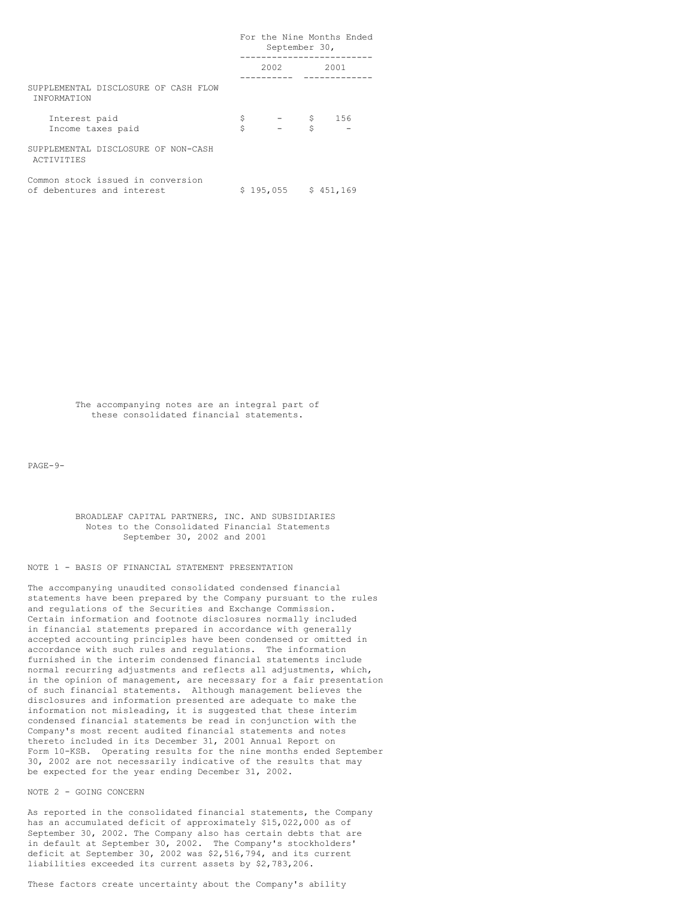|                                                                 | For the Nine Months Ended<br>September 30, |                       |          |      |
|-----------------------------------------------------------------|--------------------------------------------|-----------------------|----------|------|
|                                                                 |                                            | 2002                  |          | 2001 |
| SUPPLEMENTAL DISCLOSURE OF CASH FLOW<br><b>TNFORMATION</b>      |                                            |                       |          |      |
| Interest paid<br>Income taxes paid                              | \$<br>\$                                   |                       | Ş.<br>\$ | 156  |
| SUPPLEMENTAL DISCLOSURE OF NON-CASH<br>ACTIVITIES               |                                            |                       |          |      |
| Common stock issued in conversion<br>of debentures and interest |                                            | $$195,055$ $$451,169$ |          |      |

The accompanying notes are an integral part of these consolidated financial statements.

PAGE-9-

BROADLEAF CAPITAL PARTNERS, INC. AND SUBSIDIARIES Notes to the Consolidated Financial Statements September 30, 2002 and 2001

## NOTE 1 - BASIS OF FINANCIAL STATEMENT PRESENTATION

The accompanying unaudited consolidated condensed financial statements have been prepared by the Company pursuant to the rules and regulations of the Securities and Exchange Commission. Certain information and footnote disclosures normally included in financial statements prepared in accordance with generally accepted accounting principles have been condensed or omitted in accordance with such rules and regulations. The information furnished in the interim condensed financial statements include normal recurring adjustments and reflects all adjustments, which, in the opinion of management, are necessary for a fair presentation of such financial statements. Although management believes the disclosures and information presented are adequate to make the information not misleading, it is suggested that these interim condensed financial statements be read in conjunction with the Company's most recent audited financial statements and notes thereto included in its December 31, 2001 Annual Report on Form 10-KSB. Operating results for the nine months ended September 30, 2002 are not necessarily indicative of the results that may be expected for the year ending December 31, 2002.

#### NOTE 2 - GOING CONCERN

As reported in the consolidated financial statements, the Company has an accumulated deficit of approximately \$15,022,000 as of September 30, 2002. The Company also has certain debts that are in default at September 30, 2002. The Company's stockholders' deficit at September 30, 2002 was \$2,516,794, and its current liabilities exceeded its current assets by \$2,783,206.

These factors create uncertainty about the Company's ability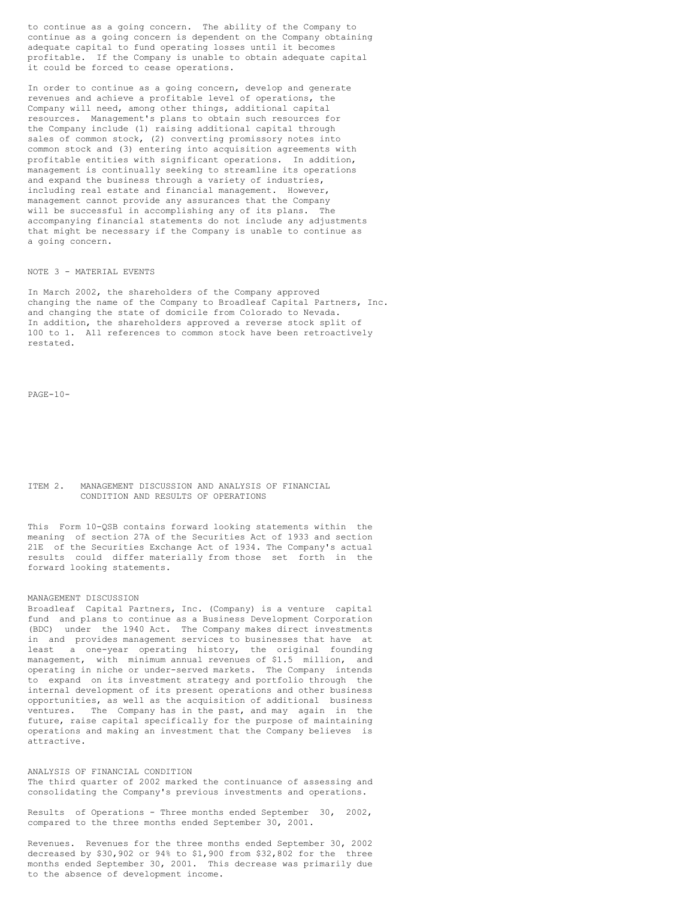to continue as a going concern. The ability of the Company to continue as a going concern is dependent on the Company obtaining adequate capital to fund operating losses until it becomes profitable. If the Company is unable to obtain adequate capital it could be forced to cease operations.

In order to continue as a going concern, develop and generate revenues and achieve a profitable level of operations, the Company will need, among other things, additional capital resources. Management's plans to obtain such resources for the Company include (1) raising additional capital through sales of common stock, (2) converting promissory notes into common stock and (3) entering into acquisition agreements with profitable entities with significant operations. In addition, management is continually seeking to streamline its operations and expand the business through a variety of industries, including real estate and financial management. However, management cannot provide any assurances that the Company will be successful in accomplishing any of its plans. The accompanying financial statements do not include any adjustments that might be necessary if the Company is unable to continue as a going concern.

#### NOTE 3 - MATERIAL EVENTS

In March 2002, the shareholders of the Company approved changing the name of the Company to Broadleaf Capital Partners, Inc. and changing the state of domicile from Colorado to Nevada. In addition, the shareholders approved a reverse stock split of 100 to 1. All references to common stock have been retroactively restated.

 $PAGE-10-$ 

ITEM 2. MANAGEMENT DISCUSSION AND ANALYSIS OF FINANCIAL CONDITION AND RESULTS OF OPERATIONS

This Form 10-QSB contains forward looking statements within the meaning of section 27A of the Securities Act of 1933 and section 21E of the Securities Exchange Act of 1934. The Company's actual results could differ materially from those set forth in the forward looking statements.

## MANAGEMENT DISCUSSION

Broadleaf Capital Partners, Inc. (Company) is a venture capital fund and plans to continue as a Business Development Corporation (BDC) under the 1940 Act. The Company makes direct investments in and provides management services to businesses that have at least a one-year operating history, the original founding management, with minimum annual revenues of \$1.5 million, and operating in niche or under-served markets. The Company intends to expand on its investment strategy and portfolio through the internal development of its present operations and other business opportunities, as well as the acquisition of additional business ventures. The Company has in the past, and may again in the future, raise capital specifically for the purpose of maintaining operations and making an investment that the Company believes is attractive.

ANALYSIS OF FINANCIAL CONDITION The third quarter of 2002 marked the continuance of assessing and consolidating the Company's previous investments and operations.

Results of Operations - Three months ended September 30, 2002, compared to the three months ended September 30, 2001.

Revenues. Revenues for the three months ended September 30, 2002 decreased by \$30,902 or 94% to \$1,900 from \$32,802 for the three months ended September 30, 2001. This decrease was primarily due to the absence of development income.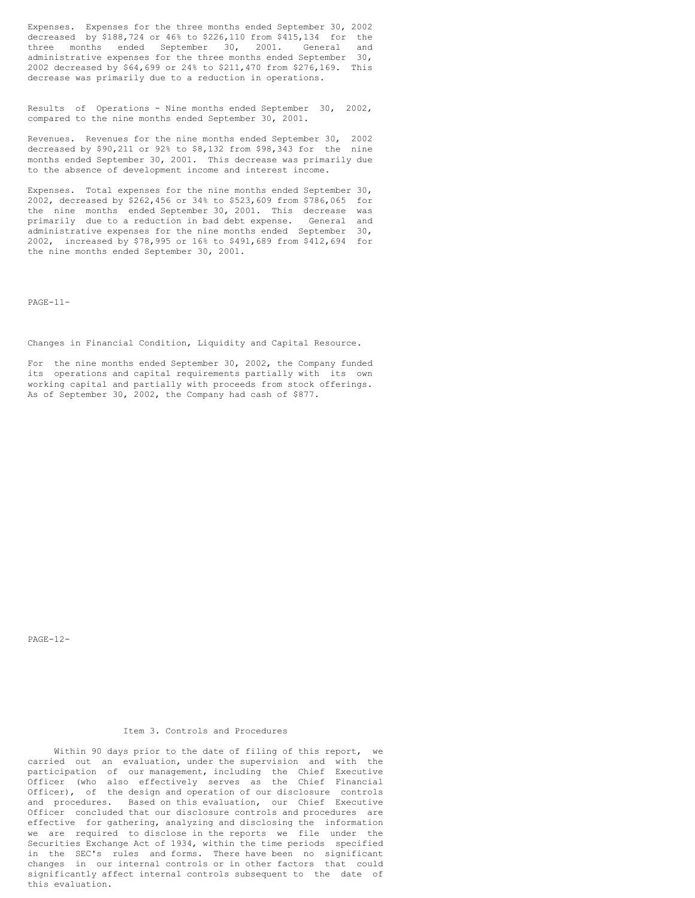Expenses. Expenses for the three months ended September 30, 2002 decreased by \$188,724 or 46% to \$226,110 from \$415,134 for the three months ended September 30, 2001. General and administrative expenses for the three months ended September 30, 2002 decreased by \$64,699 or 24% to \$211,470 from \$276,169. This decrease was primarily due to a reduction in operations.

Results of Operations - Nine months ended September 30, 2002, compared to the nine months ended September 30, 2001.

Revenues. Revenues for the nine months ended September 30, 2002 decreased by \$90,211 or 92% to \$8,132 from \$98,343 for the nine months ended September 30, 2001. This decrease was primarily due to the absence of development income and interest income.

Expenses. Total expenses for the nine months ended September 30, 2002, decreased by \$262,456 or 34% to \$523,609 from \$786,065 for the nine months ended September 30, 2001. This decrease was primarily due to a reduction in bad debt expense. General and administrative expenses for the nine months ended September 30, 2002, increased by \$78,995 or 16% to \$491,689 from \$412,694 for the nine months ended September 30, 2001.

 $PAGE-11-$ 

Changes in Financial Condition, Liquidity and Capital Resource.

For the nine months ended September 30, 2002, the Company funded its operations and capital requirements partially with its own working capital and partially with proceeds from stock offerings. As of September 30, 2002, the Company had cash of \$877.

PAGE-12-

### Item 3. Controls and Procedures

Within 90 days prior to the date of filing of this report, we carried out an evaluation, under the supervision and with the participation of our management, including the Chief Executive Officer (who also effectively serves as the Chief Financial Officer), of the design and operation of our disclosure controls and procedures. Based on this evaluation, our Chief Executive Officer concluded that our disclosure controls and procedures are effective for gathering, analyzing and disclosing the information we are required to disclose in the reports we file under the Securities Exchange Act of 1934, within the time periods specified in the SEC's rules and forms. There have been no significant changes in our internal controls or in other factors that could significantly affect internal controls subsequent to the date of this evaluation.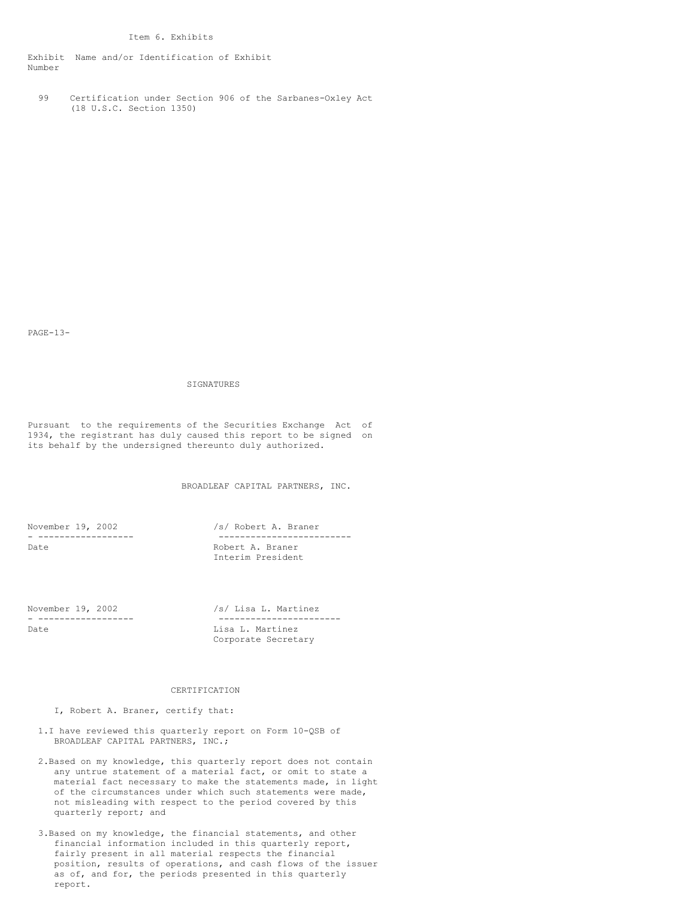Exhibit Name and/or Identification of Exhibit Number

99 Certification under Section 906 of the Sarbanes-Oxley Act (18 U.S.C. Section 1350)

PAGE-13-

### SIGNATURES

Pursuant to the requirements of the Securities Exchange Act of 1934, the registrant has duly caused this report to be signed on its behalf by the undersigned thereunto duly authorized.

BROADLEAF CAPITAL PARTNERS, INC.

November 19, 2002 /s/ Robert A. Braner

- ------------------ ------------------------- Robert A. Braner Interim President

November 19, 2002 /s/ Lisa L. Martinez - ------------------ ----------------------- Lisa L. Martinez Corporate Secretary

# CERTIFICATION

I, Robert A. Braner, certify that:

- 1.I have reviewed this quarterly report on Form 10-QSB of BROADLEAF CAPITAL PARTNERS, INC.;
- 2.Based on my knowledge, this quarterly report does not contain any untrue statement of a material fact, or omit to state a material fact necessary to make the statements made, in light of the circumstances under which such statements were made, not misleading with respect to the period covered by this quarterly report; and
- 3.Based on my knowledge, the financial statements, and other financial information included in this quarterly report, fairly present in all material respects the financial position, results of operations, and cash flows of the issuer as of, and for, the periods presented in this quarterly report.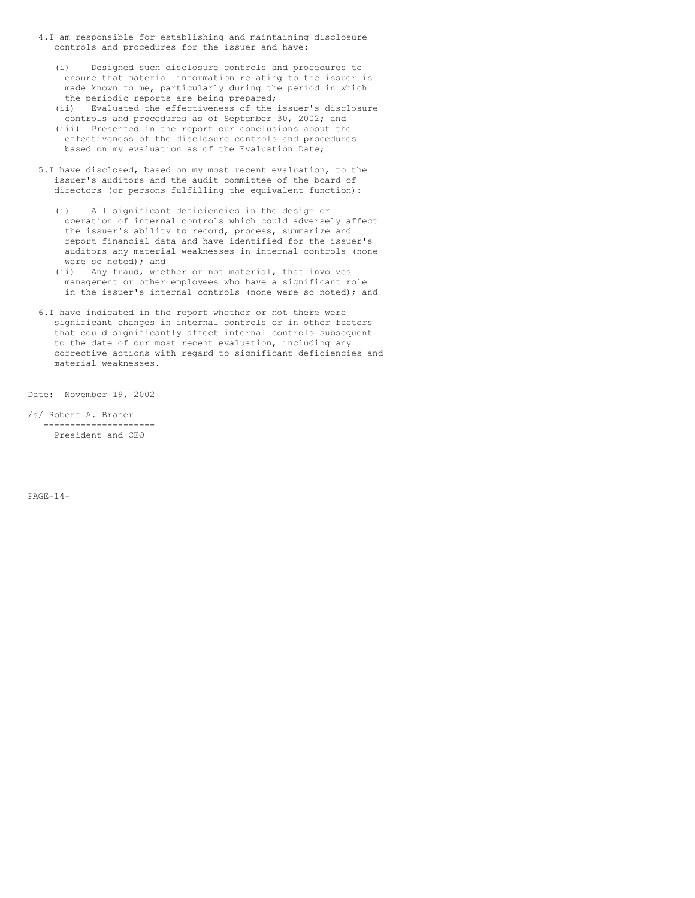- 4.I am responsible for establishing and maintaining disclosure controls and procedures for the issuer and have:
	- (i) Designed such disclosure controls and procedures to ensure that material information relating to the issuer is made known to me, particularly during the period in which the periodic reports are being prepared;
	- (ii) Evaluated the effectiveness of the issuer's disclosure controls and procedures as of September 30, 2002; and
	- (iii) Presented in the report our conclusions about the effectiveness of the disclosure controls and procedures based on my evaluation as of the Evaluation Date;
- 5.I have disclosed, based on my most recent evaluation, to the issuer's auditors and the audit committee of the board of directors (or persons fulfilling the equivalent function):
	- (i) All significant deficiencies in the design or operation of internal controls which could adversely affect the issuer's ability to record, process, summarize and report financial data and have identified for the issuer's auditors any material weaknesses in internal controls (none were so noted); and
	- (ii) Any fraud, whether or not material, that involves management or other employees who have a significant role in the issuer's internal controls (none were so noted); and
- 6.I have indicated in the report whether or not there were significant changes in internal controls or in other factors that could significantly affect internal controls subsequent to the date of our most recent evaluation, including any corrective actions with regard to significant deficiencies and material weaknesses.

Date: November 19, 2002

/s/ Robert A. Braner --------------------- President and CEO

 $PAGE-14-$